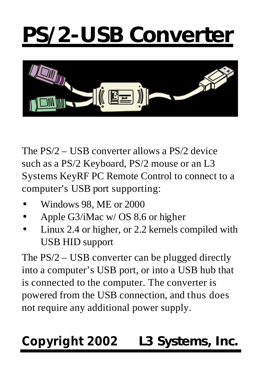# **PS/2-USB Converter**



The PS/2 – USB converter allows a PS/2 device such as a PS/2 Keyboard, PS/2 mouse or an L3 Systems KeyRF PC Remote Control to connect to a computer's USB port supporting:

- Windows 98, ME or 2000
- Apple G3/iMac w/ OS 8.6 or higher
- Linux 2.4 or higher, or 2.2 kernels compiled with USB HID support

The PS/2 – USB converter can be plugged directly into a computer's USB port, or into a USB hub that is connected to the computer. The converter is powered from the USB connection, and thus does not require any additional power supply.

## *Copyright 2002* **L3 Systems, Inc.**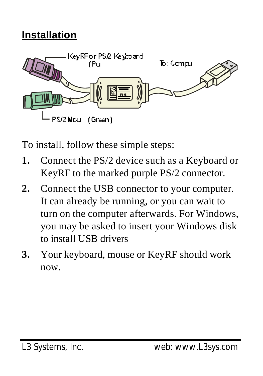#### **Installation**



To install, follow these simple steps:

- **1.** Connect the PS/2 device such as a Keyboard or KeyRF to the marked purple PS/2 connector.
- **2.** Connect the USB connector to your computer. It can already be running, or you can wait to turn on the computer afterwards. For Windows, you may be asked to insert your Windows disk to install USB drivers
- **3.** Your keyboard, mouse or KeyRF should work now.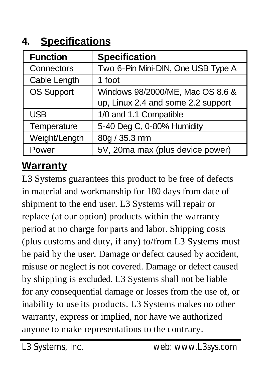#### **4. Specifications**

| <b>Function</b> | <b>Specification</b>               |
|-----------------|------------------------------------|
| Connectors      | Two 6-Pin Mini-DIN, One USB Type A |
| Cable Length    | 1 foot                             |
| OS Support      | Windows 98/2000/ME, Mac OS 8.6 &   |
|                 | up, Linux 2.4 and some 2.2 support |
| <b>USB</b>      | 1/0 and 1.1 Compatible             |
| Temperature     | 5-40 Deg C, 0-80% Humidity         |
| Weight/Length   | 80g / 35.3 mm                      |
| Power           | 5V, 20ma max (plus device power)   |

#### **Warranty**

L3 Systems guarantees this product to be free of defects in material and workmanship for 180 days from date of shipment to the end user. L3 Systems will repair or replace (at our option) products within the warranty period at no charge for parts and labor. Shipping costs (plus customs and duty, if any) to/from L3 Systems must be paid by the user. Damage or defect caused by accident, misuse or neglect is not covered. Damage or defect caused by shipping is excluded. L3 Systems shall not be liable for any consequential damage or losses from the use of, or inability to use its products. L3 Systems makes no other warranty, express or implied, nor have we authorized anyone to make representations to the contrary.